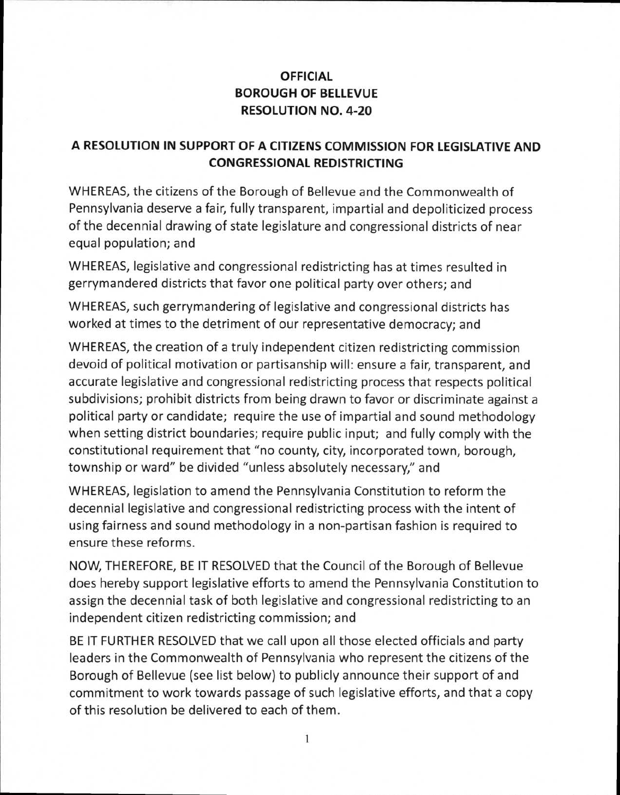## **OFFICIAL BOROUGH OF BELLEVUE RESOLUTION NO. 4-20**

## **A RESOLUTION IN SUPPORT OF A CITIZENS COMMISSION FOR LEGISLATIVE AND CONGRESSIONAL REDISTRICTING**

WHEREAS, the citizens of the Borough of Bellevue and the Commonwealth of Pennsylvania deserve a fair, fully transparent, impartial and depoliticized process of the decennial drawing of state legislature and congressional districts of near equal population; and

WHEREAS, legislative and congressional redistricting has at times resulted in gerrymandered districts that favor one political party over others; and

WHEREAS, such gerrymandering of legislative and congressional districts has worked at times to the detriment of our representative democracy; and

WHEREAS, the creation of a truly independent citizen redistricting commission devoid of political motivation or partisanship will: ensure a fair, transparent, and accurate legislative and congressional redistricting process that respects political subdivisions; prohibit districts from being drawn to favor or discriminate against a political party or candidate; require the use of impartial and sound methodology when setting district boundaries; require public input; and fully comply with the constitutional requirement that "no county, city, incorporated town, borough, township or ward" be divided "unless absolutely necessary," and

WHEREAS, legislation to amend the Pennsylvania Constitution to reform the decennial legislative and congressional redistricting process with the intent of using fairness and sound methodology in a non-partisan fashion is required to ensure these reforms.

NOW, THEREFORE, BE IT RESOLVED that the Council of the Borough of Bellevue does hereby support legislative efforts to amend the Pennsylvania Constitution to assign the decennial task of both legislative and congressional redistricting to an independent citizen redistricting commission; and

BE IT FURTHER RESOLVED that we call upon all those elected officials and party leaders in the Commonwealth of Pennsylvania who represent the citizens of the Borough of Bellevue (see list below) to publicly announce their support of and commitment to work towards passage of such legislative efforts, and that a copy of this resolution be delivered to each of them.